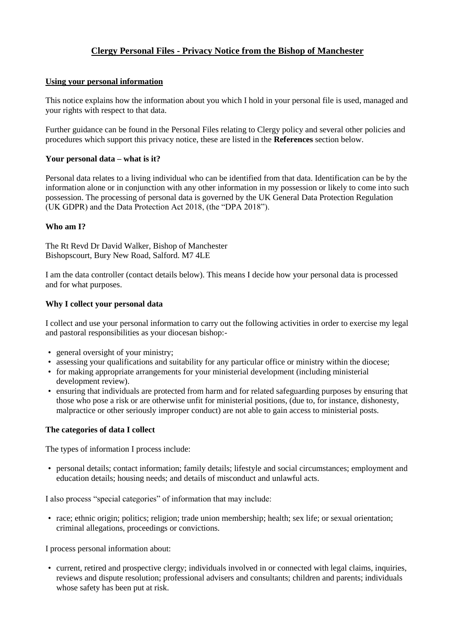# **Clergy Personal Files - Privacy Notice from the Bishop of Manchester**

### **Using your personal information**

This notice explains how the information about you which I hold in your personal file is used, managed and your rights with respect to that data.

Further guidance can be found in the Personal Files relating to Clergy policy and several other policies and procedures which support this privacy notice, these are listed in the **References** section below.

# **Your personal data – what is it?**

Personal data relates to a living individual who can be identified from that data. Identification can be by the information alone or in conjunction with any other information in my possession or likely to come into such possession. The processing of personal data is governed by the UK General Data Protection Regulation (UK GDPR) and the Data Protection Act 2018, (the "DPA 2018").

# **Who am I?**

The Rt Revd Dr David Walker, Bishop of Manchester Bishopscourt, Bury New Road, Salford. M7 4LE

I am the data controller (contact details below). This means I decide how your personal data is processed and for what purposes.

# **Why I collect your personal data**

I collect and use your personal information to carry out the following activities in order to exercise my legal and pastoral responsibilities as your diocesan bishop:-

- general oversight of your ministry;
- assessing your qualifications and suitability for any particular office or ministry within the diocese;
- for making appropriate arrangements for your ministerial development (including ministerial development review).
- ensuring that individuals are protected from harm and for related safeguarding purposes by ensuring that those who pose a risk or are otherwise unfit for ministerial positions, (due to, for instance, dishonesty, malpractice or other seriously improper conduct) are not able to gain access to ministerial posts.

### **The categories of data I collect**

The types of information I process include:

• personal details; contact information; family details; lifestyle and social circumstances; employment and education details; housing needs; and details of misconduct and unlawful acts.

I also process "special categories" of information that may include:

• race; ethnic origin; politics; religion; trade union membership; health; sex life; or sexual orientation; criminal allegations, proceedings or convictions.

I process personal information about:

• current, retired and prospective clergy; individuals involved in or connected with legal claims, inquiries, reviews and dispute resolution; professional advisers and consultants; children and parents; individuals whose safety has been put at risk.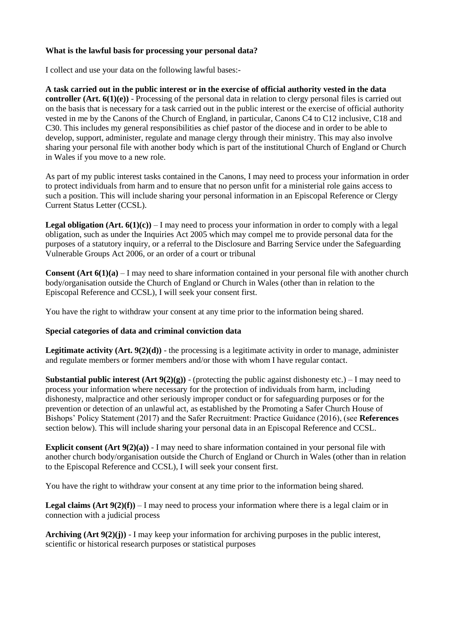# **What is the lawful basis for processing your personal data?**

I collect and use your data on the following lawful bases:-

**A task carried out in the public interest or in the exercise of official authority vested in the data controller (Art. 6(1)(e))** - Processing of the personal data in relation to clergy personal files is carried out on the basis that is necessary for a task carried out in the public interest or the exercise of official authority vested in me by the Canons of the Church of England, in particular, Canons C4 to C12 inclusive, C18 and C30. This includes my general responsibilities as chief pastor of the diocese and in order to be able to develop, support, administer, regulate and manage clergy through their ministry. This may also involve sharing your personal file with another body which is part of the institutional Church of England or Church in Wales if you move to a new role.

As part of my public interest tasks contained in the Canons, I may need to process your information in order to protect individuals from harm and to ensure that no person unfit for a ministerial role gains access to such a position. This will include sharing your personal information in an Episcopal Reference or Clergy Current Status Letter (CCSL).

**Legal obligation**  $(Art. 6(1)(c)) - I$  may need to process your information in order to comply with a legal obligation, such as under the Inquiries Act 2005 which may compel me to provide personal data for the purposes of a statutory inquiry, or a referral to the Disclosure and Barring Service under the Safeguarding Vulnerable Groups Act 2006, or an order of a court or tribunal

**Consent (Art 6(1)(a)** – I may need to share information contained in your personal file with another church body/organisation outside the Church of England or Church in Wales (other than in relation to the Episcopal Reference and CCSL), I will seek your consent first.

You have the right to withdraw your consent at any time prior to the information being shared.

### **Special categories of data and criminal conviction data**

**Legitimate activity (Art.**  $9(2)(d)$ **)** - the processing is a legitimate activity in order to manage, administer and regulate members or former members and/or those with whom I have regular contact.

**Substantial public interest**  $(Art 9(2)(g))$  **– (protecting the public against dishonesty etc.) – I may need to** process your information where necessary for the protection of individuals from harm, including dishonesty, malpractice and other seriously improper conduct or for safeguarding purposes or for the prevention or detection of an unlawful act, as established by the Promoting a Safer Church House of Bishops' Policy Statement (2017) and the Safer Recruitment: Practice Guidance (2016), (see **References**  section below). This will include sharing your personal data in an Episcopal Reference and CCSL.

**Explicit consent (Art 9(2)(a))** - I may need to share information contained in your personal file with another church body/organisation outside the Church of England or Church in Wales (other than in relation to the Episcopal Reference and CCSL), I will seek your consent first.

You have the right to withdraw your consent at any time prior to the information being shared.

**Legal claims**  $(Art 9(2)(f)) - I$  may need to process your information where there is a legal claim or in connection with a judicial process

**Archiving (Art 9(2)(j))** - I may keep your information for archiving purposes in the public interest, scientific or historical research purposes or statistical purposes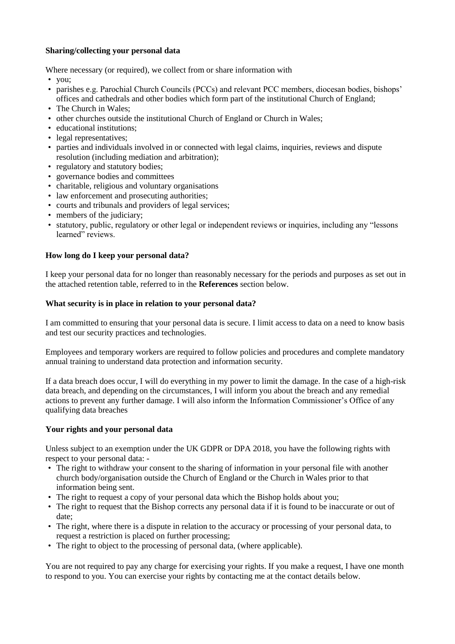# **Sharing/collecting your personal data**

Where necessary (or required), we collect from or share information with

- you;
- parishes e.g. Parochial Church Councils (PCCs) and relevant PCC members, diocesan bodies, bishops' offices and cathedrals and other bodies which form part of the institutional Church of England;
- The Church in Wales:
- other churches outside the institutional Church of England or Church in Wales;
- educational institutions;
- legal representatives;
- parties and individuals involved in or connected with legal claims, inquiries, reviews and dispute resolution (including mediation and arbitration);
- regulatory and statutory bodies;
- governance bodies and committees
- charitable, religious and voluntary organisations
- law enforcement and prosecuting authorities;
- courts and tribunals and providers of legal services;
- members of the judiciary;
- statutory, public, regulatory or other legal or independent reviews or inquiries, including any "lessons learned" reviews.

# **How long do I keep your personal data?**

I keep your personal data for no longer than reasonably necessary for the periods and purposes as set out in the attached retention table, referred to in the **References** section below.

### **What security is in place in relation to your personal data?**

I am committed to ensuring that your personal data is secure. I limit access to data on a need to know basis and test our security practices and technologies.

Employees and temporary workers are required to follow policies and procedures and complete mandatory annual training to understand data protection and information security.

If a data breach does occur, I will do everything in my power to limit the damage. In the case of a high-risk data breach, and depending on the circumstances, I will inform you about the breach and any remedial actions to prevent any further damage. I will also inform the Information Commissioner's Office of any qualifying data breaches

### **Your rights and your personal data**

Unless subject to an exemption under the UK GDPR or DPA 2018, you have the following rights with respect to your personal data: -

- The right to withdraw your consent to the sharing of information in your personal file with another church body/organisation outside the Church of England or the Church in Wales prior to that information being sent.
- The right to request a copy of your personal data which the Bishop holds about you;
- The right to request that the Bishop corrects any personal data if it is found to be inaccurate or out of date;
- The right, where there is a dispute in relation to the accuracy or processing of your personal data, to request a restriction is placed on further processing;
- The right to object to the processing of personal data, (where applicable).

You are not required to pay any charge for exercising your rights. If you make a request, I have one month to respond to you. You can exercise your rights by contacting me at the contact details below.